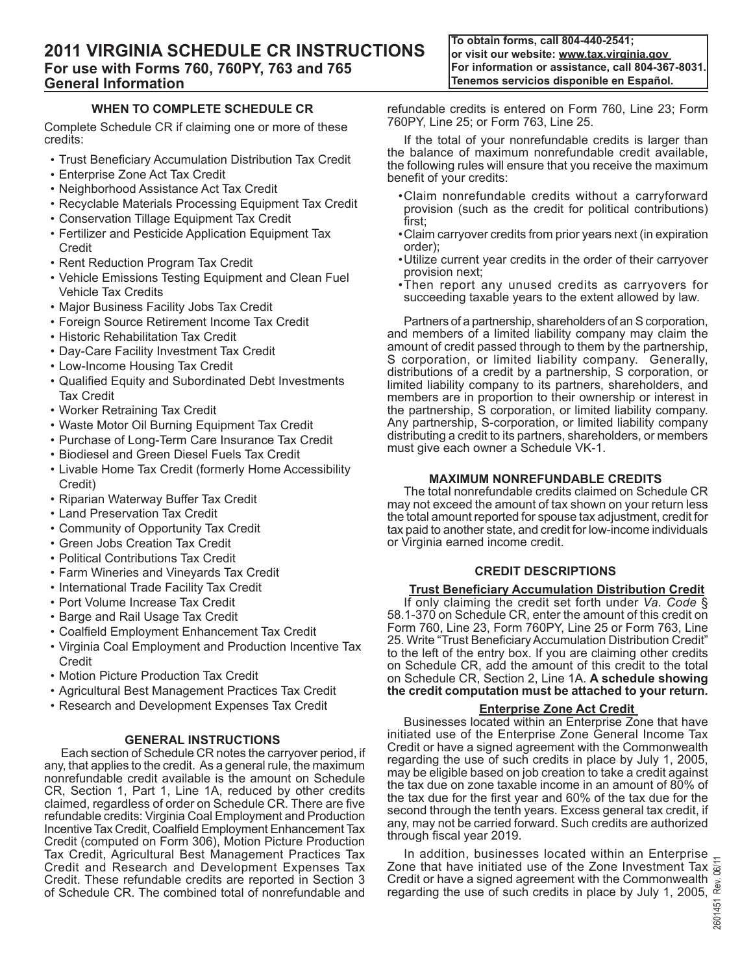**To obtain forms, call 804-440-2541; or visit our website: www.tax.virginia.gov For information or assistance, call 804-367-8031. Tenemos servicios disponible en Español.**

# **When To Complete Schedule CR**

Complete Schedule CR if claiming one or more of these credits:

- Trust Beneficiary Accumulation Distribution Tax Credit
- Enterprise Zone Act Tax Credit
- Neighborhood Assistance Act Tax Credit
- Recyclable Materials Processing Equipment Tax Credit
- Conservation Tillage Equipment Tax Credit
- Fertilizer and Pesticide Application Equipment Tax Credit
- Rent Reduction Program Tax Credit
- Vehicle Emissions Testing Equipment and Clean Fuel Vehicle Tax Credits
- Major Business Facility Jobs Tax Credit
- Foreign Source Retirement Income Tax Credit
- Historic Rehabilitation Tax Credit
- Day-Care Facility Investment Tax Credit
- Low-Income Housing Tax Credit
- Qualified Equity and Subordinated Debt Investments Tax Credit
- Worker Retraining Tax Credit
- Waste Motor Oil Burning Equipment Tax Credit
- Purchase of Long-Term Care Insurance Tax Credit
- Biodiesel and Green Diesel Fuels Tax Credit
- Livable Home Tax Credit (formerly Home Accessibility Credit)
- Riparian Waterway Buffer Tax Credit
- Land Preservation Tax Credit
- Community of Opportunity Tax Credit
- Green Jobs Creation Tax Credit
- Political Contributions Tax Credit
- Farm Wineries and Vineyards Tax Credit
- International Trade Facility Tax Credit
- Port Volume Increase Tax Credit
- Barge and Rail Usage Tax Credit
- Coalfield Employment Enhancement Tax Credit
- Virginia Coal Employment and Production Incentive Tax Credit
- Motion Picture Production Tax Credit
- Agricultural Best Management Practices Tax Credit
- Research and Development Expenses Tax Credit

# **GENERAL INSTRUCTIONS**

Each section of Schedule CR notes the carryover period, if any, that applies to the credit. As a general rule, the maximum nonrefundable credit available is the amount on Schedule CR, Section 1, Part 1, Line 1A, reduced by other credits claimed, regardless of order on Schedule CR. There are five refundable credits: Virginia Coal Employment and Production Incentive Tax Credit, Coalfield Employment Enhancement Tax Credit (computed on Form 306), Motion Picture Production Tax Credit, Agricultural Best Management Practices Tax Credit and Research and Development Expenses Tax Credit. These refundable credits are reported in Section 3 of Schedule CR. The combined total of nonrefundable and

refundable credits is entered on Form 760, Line 23; Form 760PY, Line 25; or Form 763, Line 25.

If the total of your nonrefundable credits is larger than the balance of maximum nonrefundable credit available, the following rules will ensure that you receive the maximum benefit of your credits:

- •Claim nonrefundable credits without a carryforward provision (such as the credit for political contributions) first;
- •Claim carryover credits from prior years next (in expiration order);
- •Utilize current year credits in the order of their carryover provision next;
- •Then report any unused credits as carryovers for succeeding taxable years to the extent allowed by law.

Partners of a partnership, shareholders of an S corporation, and members of a limited liability company may claim the amount of credit passed through to them by the partnership, S corporation, or limited liability company. Generally, distributions of a credit by a partnership, S corporation, or limited liability company to its partners, shareholders, and members are in proportion to their ownership or interest in the partnership, S corporation, or limited liability company. Any partnership, S-corporation, or limited liability company distributing a credit to its partners, shareholders, or members must give each owner a Schedule VK-1.

# **MAXIMUM Nonrefundable CREDITS**

The total nonrefundable credits claimed on Schedule CR may not exceed the amount of tax shown on your return less the total amount reported for spouse tax adjustment, credit for tax paid to another state, and credit for low-income individuals or Virginia earned income credit.

# **CREDIT DESCRIPTIONS**

# **Trust Beneficiary Accumulation Distribution Credit**

If only claiming the credit set forth under *Va. Code* § 58.1‑370 on Schedule CR, enter the amount of this credit on Form 760, Line 23, Form 760PY, Line 25 or Form 763, Line 25. Write "Trust Beneficiary Accumulation Distribution Credit" to the left of the entry box. If you are claiming other credits on Schedule CR, add the amount of this credit to the total on Schedule CR, Section 2, Line 1A. **A schedule showing the credit computation must be attached to your return.**

# **Enterprise Zone Act Credit**

Businesses located within an Enterprise Zone that have initiated use of the Enterprise Zone General Income Tax Credit or have a signed agreement with the Commonwealth regarding the use of such credits in place by July 1, 2005, may be eligible based on job creation to take a credit against the tax due on zone taxable income in an amount of 80% of the tax due for the first year and 60% of the tax due for the second through the tenth years. Excess general tax credit, if any, may not be carried forward. Such credits are authorized through fiscal year 2019.

In addition, businesses located within an Enterprise Zone that have initiated use of the Zone Investment Tax  $\frac{1}{2}$ Credit or have a signed agreement with the Commonwealth regarding the use of such credits in place by July 1, 2005,  $\frac{\alpha}{\frac{G}{\alpha}}$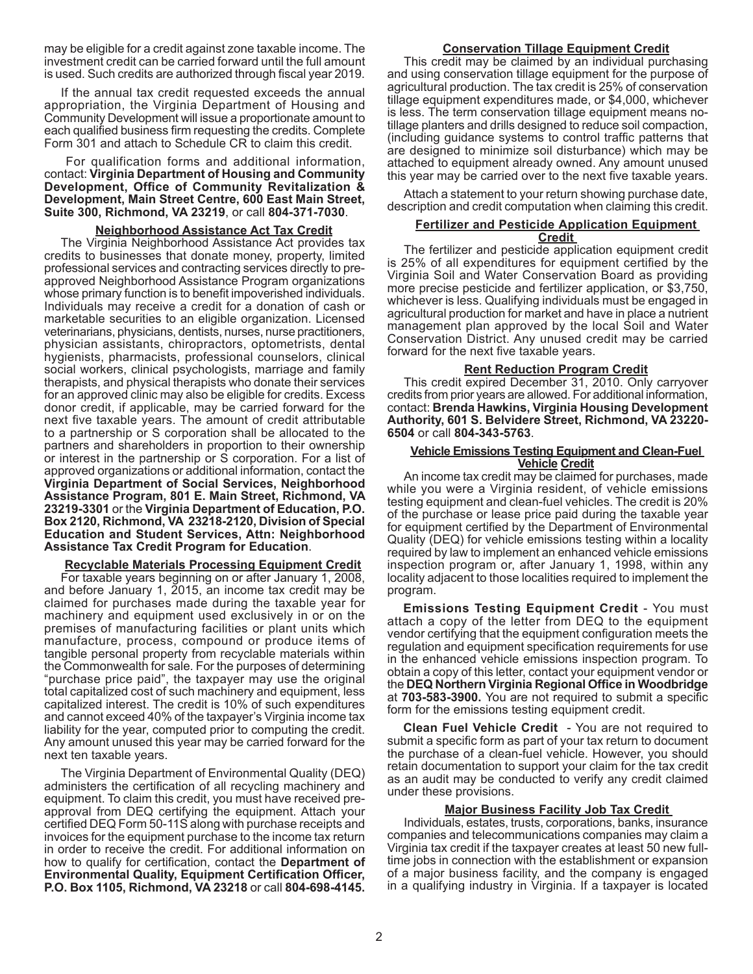may be eligible for a credit against zone taxable income. The investment credit can be carried forward until the full amount is used. Such credits are authorized through fiscal year 2019.

If the annual tax credit requested exceeds the annual appropriation, the Virginia Department of Housing and Community Development will issue a proportionate amount to each qualified business firm requesting the credits. Complete Form 301 and attach to Schedule CR to claim this credit.

#### For qualification forms and additional information, contact: **Virginia Department of Housing and Community Development, Office of Community Revitalization & Development, Main Street Centre, 600 East Main Street, Suite 300, Richmond, VA 23219**, or call **804-371-7030**.

### **Neighborhood Assistance Act Tax Credit**

The Virginia Neighborhood Assistance Act provides tax credits to businesses that donate money, property, limited professional services and contracting services directly to preapproved Neighborhood Assistance Program organizations whose primary function is to benefit impoverished individuals. Individuals may receive a credit for a donation of cash or marketable securities to an eligible organization. Licensed veterinarians, physicians, dentists, nurses, nurse practitioners, physician assistants, chiropractors, optometrists, dental hygienists, pharmacists, professional counselors, clinical social workers, clinical psychologists, marriage and family therapists, and physical therapists who donate their services for an approved clinic may also be eligible for credits. Excess donor credit, if applicable, may be carried forward for the next five taxable years. The amount of credit attributable to a partnership or S corporation shall be allocated to the partners and shareholders in proportion to their ownership or interest in the partnership or S corporation. For a list of approved organizations or additional information, contact the **Virginia Department of Social Services, Neighborhood Assistance Program, 801 E. Main Street, Richmond, VA 23219-3301** or the **Virginia Department of Education, P.O. Box 2120, Richmond, VA 23218-2120, Division of Special Education and Student Services, Attn: Neighborhood Assistance Tax Credit Program for Education**.

# **Recyclable Materials Processing Equipment Credit**

For taxable years beginning on or after January 1, 2008, and before January 1, 2015, an income tax credit may be claimed for purchases made during the taxable year for machinery and equipment used exclusively in or on the premises of manufacturing facilities or plant units which manufacture, process, compound or produce items of tangible personal property from recyclable materials within the Commonwealth for sale. For the purposes of determining "purchase price paid", the taxpayer may use the original total capitalized cost of such machinery and equipment, less capitalized interest. The credit is 10% of such expenditures and cannot exceed 40% of the taxpayer's Virginia income tax liability for the year, computed prior to computing the credit. Any amount unused this year may be carried forward for the next ten taxable years.

The Virginia Department of Environmental Quality (DEQ) administers the certification of all recycling machinery and equipment. To claim this credit, you must have received preapproval from DEQ certifying the equipment. Attach your certified DEQ Form 50-11S along with purchase receipts and invoices for the equipment purchase to the income tax return in order to receive the credit. For additional information on how to qualify for certification, contact the **Department of Environmental Quality, Equipment Certification Officer, P.O. Box 1105, Richmond, VA 23218** or call **804-698-4145.**

## **Conservation Tillage Equipment Credit**

This credit may be claimed by an individual purchasing and using conservation tillage equipment for the purpose of agricultural production. The tax credit is 25% of conservation tillage equipment expenditures made, or \$4,000, whichever is less. The term conservation tillage equipment means notillage planters and drills designed to reduce soil compaction, (including guidance systems to control traffic patterns that are designed to minimize soil disturbance) which may be attached to equipment already owned. Any amount unused this year may be carried over to the next five taxable years.

Attach a statement to your return showing purchase date, description and credit computation when claiming this credit.

# **Fertilizer and Pesticide Application Equipment**

# **Credit**

The fertilizer and pesticide application equipment credit is 25% of all expenditures for equipment certified by the Virginia Soil and Water Conservation Board as providing more precise pesticide and fertilizer application, or \$3,750, whichever is less. Qualifying individuals must be engaged in agricultural production for market and have in place a nutrient management plan approved by the local Soil and Water Conservation District. Any unused credit may be carried forward for the next five taxable years.

## **Rent Reduction Program Credit**

This credit expired December 31, 2010. Only carryover credits from prior years are allowed. For additional information, contact: **Brenda Hawkins, Virginia Housing Development Authority, 601 S. Belvidere Street, Richmond, VA 23220- 6504** or call **804-343-5763**.

## **Vehicle Emissions Testing Equipment and Clean-Fuel Vehicle Credit**

An income tax credit may be claimed for purchases, made while you were a Virginia resident, of vehicle emissions testing equipment and clean-fuel vehicles. The credit is 20% of the purchase or lease price paid during the taxable year for equipment certified by the Department of Environmental Quality (DEQ) for vehicle emissions testing within a locality required by law to implement an enhanced vehicle emissions inspection program or, after January 1, 1998, within any locality adjacent to those localities required to implement the program.

**Emissions Testing Equipment Credit** - You must attach a copy of the letter from DEQ to the equipment vendor certifying that the equipment configuration meets the regulation and equipment specification requirements for use in the enhanced vehicle emissions inspection program. To obtain a copy of this letter, contact your equipment vendor or the **DEQ Northern Virginia Regional Office in Woodbridge**  at **703-583-3900.** You are not required to submit a specific form for the emissions testing equipment credit.

**Clean Fuel Vehicle Credit** - You are not required to submit a specific form as part of your tax return to document the purchase of a clean-fuel vehicle. However, you should retain documentation to support your claim for the tax credit as an audit may be conducted to verify any credit claimed under these provisions.

### **Major Business Facility Job Tax Credit**

Individuals, estates, trusts, corporations, banks, insurance companies and telecommunications companies may claim a Virginia tax credit if the taxpayer creates at least 50 new fulltime jobs in connection with the establishment or expansion of a major business facility, and the company is engaged in a qualifying industry in Virginia. If a taxpayer is located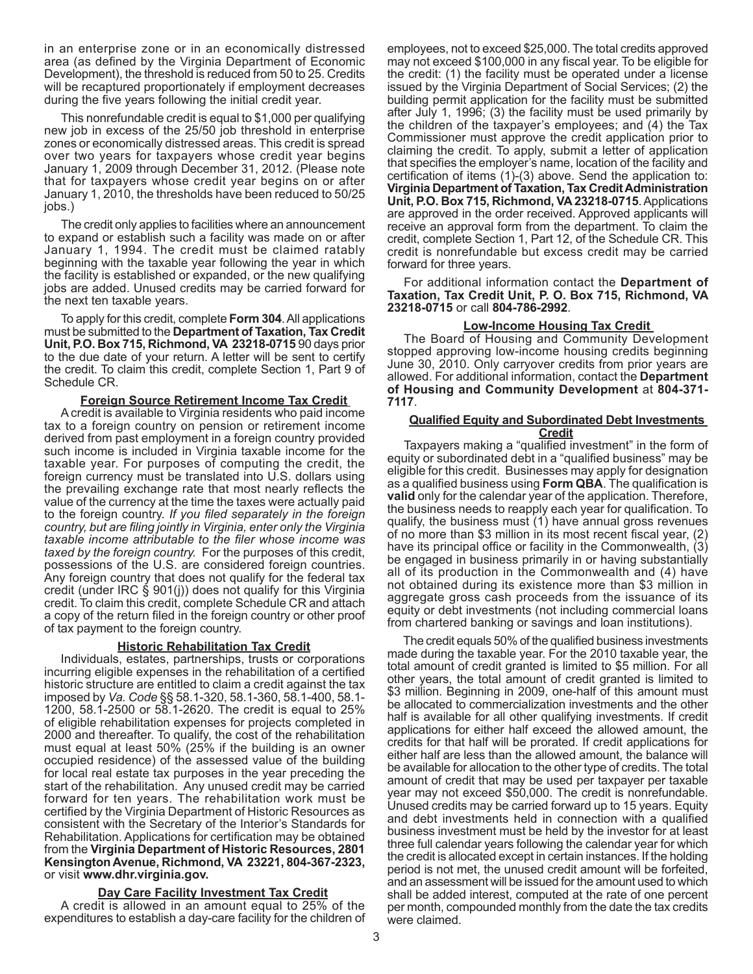in an enterprise zone or in an economically distressed area (as defined by the Virginia Department of Economic Development), the threshold is reduced from 50 to 25. Credits will be recaptured proportionately if employment decreases during the five years following the initial credit year.

This nonrefundable credit is equal to \$1,000 per qualifying new job in excess of the 25/50 job threshold in enterprise zones or economically distressed areas. This credit is spread over two years for taxpayers whose credit year begins January 1, 2009 through December 31, 2012. (Please note that for taxpayers whose credit year begins on or after January 1, 2010, the thresholds have been reduced to 50/25 jobs.)

The credit only applies to facilities where an announcement to expand or establish such a facility was made on or after January 1, 1994. The credit must be claimed ratably beginning with the taxable year following the year in which the facility is established or expanded, or the new qualifying jobs are added. Unused credits may be carried forward for the next ten taxable years.

To apply for this credit, complete **Form 304**. All applications must be submitted to the **Department of Taxation, Tax Credit Unit, P.O. Box 715, Richmond, VA 23218-0715** 90 days prior to the due date of your return. A letter will be sent to certify the credit. To claim this credit, complete Section 1, Part 9 of Schedule CR.

#### **Foreign Source Retirement Income Tax Credit**

A credit is available to Virginia residents who paid income tax to a foreign country on pension or retirement income derived from past employment in a foreign country provided such income is included in Virginia taxable income for the taxable year. For purposes of computing the credit, the foreign currency must be translated into U.S. dollars using the prevailing exchange rate that most nearly reflects the value of the currency at the time the taxes were actually paid to the foreign country. *If you filed separately in the foreign country, but are filing jointly in Virginia, enter only the Virginia taxable income attributable to the filer whose income was taxed by the foreign country.* For the purposes of this credit, possessions of the U.S. are considered foreign countries. Any foreign country that does not qualify for the federal tax credit (under IRC § 901(j)) does not qualify for this Virginia credit. To claim this credit, complete Schedule CR and attach a copy of the return filed in the foreign country or other proof of tax payment to the foreign country.

#### **Historic Rehabilitation Tax Credit**

Individuals, estates, partnerships, trusts or corporations incurring eligible expenses in the rehabilitation of a certified historic structure are entitled to claim a credit against the tax imposed by *Va. Code* §§ 58.1-320, 58.1-360, 58.1-400, 58.1- 1200, 58.1-2500 or 58.1-2620. The credit is equal to 25% of eligible rehabilitation expenses for projects completed in 2000 and thereafter. To qualify, the cost of the rehabilitation must equal at least 50% (25% if the building is an owner occupied residence) of the assessed value of the building for local real estate tax purposes in the year preceding the start of the rehabilitation. Any unused credit may be carried forward for ten years. The rehabilitation work must be certified by the Virginia Department of Historic Resources as consistent with the Secretary of the Interior's Standards for Rehabilitation. Applications for certification may be obtained from the **Virginia Department of Historic Resources, 2801 Kensington Avenue, Richmond, VA 23221, 804-367-2323,**  or visit **www.dhr.virginia.gov.** 

### **Day Care Facility Investment Tax Credit**

A credit is allowed in an amount equal to 25% of the expenditures to establish a day-care facility for the children of employees, not to exceed \$25,000. The total credits approved may not exceed \$100,000 in any fiscal year. To be eligible for the credit: (1) the facility must be operated under a license issued by the Virginia Department of Social Services; (2) the building permit application for the facility must be submitted after July 1, 1996; (3) the facility must be used primarily by the children of the taxpayer's employees; and (4) the Tax Commissioner must approve the credit application prior to claiming the credit. To apply, submit a letter of application that specifies the employer's name, location of the facility and certification of items (1)-(3) above. Send the application to: **Virginia Department of Taxation, Tax Credit Administration Unit, P.O. Box 715, Richmond, VA 23218-0715**. Applications are approved in the order received. Approved applicants will receive an approval form from the department. To claim the credit, complete Section 1, Part 12, of the Schedule CR. This credit is nonrefundable but excess credit may be carried forward for three years.

For additional information contact the **Department of Taxation, Tax Credit Unit, P. O. Box 715, Richmond, VA 23218-0715** or call **804-786-2992**.

### **Low-Income Housing Tax Credit**

The Board of Housing and Community Development stopped approving low-income housing credits beginning June 30, 2010. Only carryover credits from prior years are allowed. For additional information, contact the **Department of Housing and Community Development** at **804-371- 7117**.

#### **Qualified Equity and Subordinated Debt Investments Credit**

Taxpayers making a "qualified investment" in the form of equity or subordinated debt in a "qualified business" may be eligible for this credit. Businesses may apply for designation as a qualified business using **Form QBA**. The qualification is **valid** only for the calendar year of the application. Therefore, the business needs to reapply each year for qualification. To qualify, the business must (1) have annual gross revenues of no more than \$3 million in its most recent fiscal year, (2) have its principal office or facility in the Commonwealth, (3) be engaged in business primarily in or having substantially all of its production in the Commonwealth and (4) have not obtained during its existence more than \$3 million in aggregate gross cash proceeds from the issuance of its equity or debt investments (not including commercial loans from chartered banking or savings and loan institutions).

The credit equals 50% of the qualified business investments made during the taxable year. For the 2010 taxable year, the total amount of credit granted is limited to \$5 million. For all other years, the total amount of credit granted is limited to \$3 million. Beginning in 2009, one-half of this amount must be allocated to commercialization investments and the other half is available for all other qualifying investments. If credit applications for either half exceed the allowed amount, the credits for that half will be prorated. If credit applications for either half are less than the allowed amount, the balance will be available for allocation to the other type of credits. The total amount of credit that may be used per taxpayer per taxable year may not exceed \$50,000. The credit is nonrefundable. Unused credits may be carried forward up to 15 years. Equity and debt investments held in connection with a qualified business investment must be held by the investor for at least three full calendar years following the calendar year for which the credit is allocated except in certain instances. If the holding period is not met, the unused credit amount will be forfeited, and an assessment will be issued for the amount used to which shall be added interest, computed at the rate of one percent per month, compounded monthly from the date the tax credits were claimed.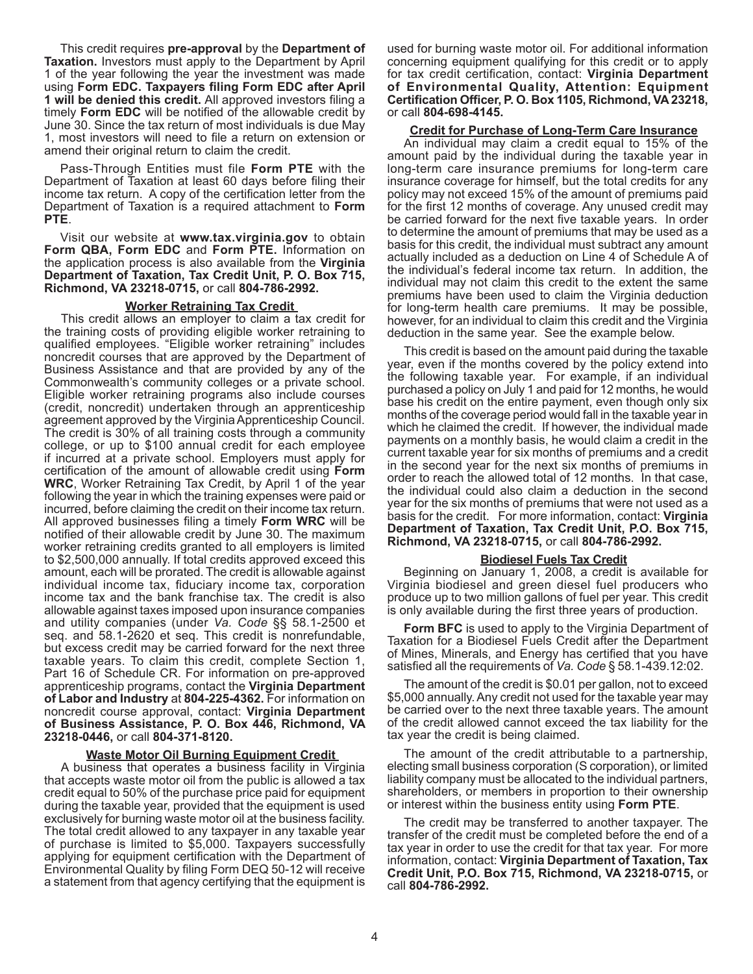This credit requires **pre-approval** by the **Department of Taxation.** Investors must apply to the Department by April 1 of the year following the year the investment was made using **Form EDC. Taxpayers filing Form EDC after April 1 will be denied this credit.** All approved investors filing a timely **Form EDC** will be notified of the allowable credit by June 30. Since the tax return of most individuals is due May 1, most investors will need to file a return on extension or amend their original return to claim the credit.

Pass-Through Entities must file **Form PTE** with the Department of Taxation at least 60 days before filing their income tax return. A copy of the certification letter from the Department of Taxation is a required attachment to **Form PTE**.

Visit our website at **www.tax.virginia.gov** to obtain **Form QBA, Form EDC** and **Form PTE.** Information on the application process is also available from the **Virginia Department of Taxation, Tax Credit Unit, P. O. Box 715, Richmond, VA 23218-0715,** or call **804-786-2992.**

#### **Worker Retraining Tax Credit**

This credit allows an employer to claim a tax credit for the training costs of providing eligible worker retraining to qualified employees. "Eligible worker retraining" includes noncredit courses that are approved by the Department of Business Assistance and that are provided by any of the Commonwealth's community colleges or a private school. Eligible worker retraining programs also include courses (credit, noncredit) undertaken through an apprenticeship agreement approved by the Virginia Apprenticeship Council. The credit is 30% of all training costs through a community college, or up to \$100 annual credit for each employee if incurred at a private school. Employers must apply for certification of the amount of allowable credit using **Form WRC**, Worker Retraining Tax Credit, by April 1 of the year following the year in which the training expenses were paid or incurred, before claiming the credit on their income tax return. All approved businesses filing a timely **Form WRC** will be notified of their allowable credit by June 30. The maximum worker retraining credits granted to all employers is limited to \$2,500,000 annually. If total credits approved exceed this amount, each will be prorated. The credit is allowable against individual income tax, fiduciary income tax, corporation income tax and the bank franchise tax. The credit is also allowable against taxes imposed upon insurance companies and utility companies (under *Va. Code* §§ 58.1-2500 et seq. and 58.1-2620 et seq. This credit is nonrefundable, but excess credit may be carried forward for the next three taxable years. To claim this credit, complete Section 1, Part 16 of Schedule CR. For information on pre-approved apprenticeship programs, contact the **Virginia Department of Labor and Industry** at **804-225-4362.** For information on noncredit course approval, contact: **Virginia Department of Business Assistance, P. O. Box 446, Richmond, VA 23218-0446,** or call **804-371-8120.**

### **Waste Motor Oil Burning Equipment Credit**

A business that operates a business facility in Virginia that accepts waste motor oil from the public is allowed a tax credit equal to 50% of the purchase price paid for equipment during the taxable year, provided that the equipment is used exclusively for burning waste motor oil at the business facility. The total credit allowed to any taxpayer in any taxable year of purchase is limited to \$5,000. Taxpayers successfully applying for equipment certification with the Department of Environmental Quality by filing Form DEQ 50-12 will receive a statement from that agency certifying that the equipment is

used for burning waste motor oil. For additional information concerning equipment qualifying for this credit or to apply for tax credit certification, contact: **Virginia Department of Environmental Quality, Attention: Equipment Certification Officer, P. O. Box 1105, Richmond, VA 23218,**  or call **804-698-4145.**

#### **Credit for Purchase of Long-Term Care Insurance**

An individual may claim a credit equal to 15% of the amount paid by the individual during the taxable year in long-term care insurance premiums for long-term care insurance coverage for himself, but the total credits for any policy may not exceed 15% of the amount of premiums paid for the first 12 months of coverage. Any unused credit may be carried forward for the next five taxable years. In order to determine the amount of premiums that may be used as a basis for this credit, the individual must subtract any amount actually included as a deduction on Line 4 of Schedule A of the individual's federal income tax return. In addition, the individual may not claim this credit to the extent the same premiums have been used to claim the Virginia deduction for long-term health care premiums. It may be possible, however, for an individual to claim this credit and the Virginia deduction in the same year. See the example below.

This credit is based on the amount paid during the taxable year, even if the months covered by the policy extend into the following taxable year. For example, if an individual purchased a policy on July 1 and paid for 12 months, he would base his credit on the entire payment, even though only six months of the coverage period would fall in the taxable year in which he claimed the credit. If however, the individual made payments on a monthly basis, he would claim a credit in the current taxable year for six months of premiums and a credit in the second year for the next six months of premiums in order to reach the allowed total of 12 months. In that case, the individual could also claim a deduction in the second year for the six months of premiums that were not used as a basis for the credit. For more information, contact: **Virginia Department of Taxation, Tax Credit Unit, P.O. Box 715, Richmond, VA 23218-0715,** or call **804-786-2992.**

#### **Biodiesel Fuels Tax Credit**

Beginning on January 1, 2008, a credit is available for Virginia biodiesel and green diesel fuel producers who produce up to two million gallons of fuel per year. This credit is only available during the first three years of production.

**Form BFC** is used to apply to the Virginia Department of Taxation for a Biodiesel Fuels Credit after the Department of Mines, Minerals, and Energy has certified that you have satisfied all the requirements of *Va. Code* § 58.1-439.12:02.

The amount of the credit is \$0.01 per gallon, not to exceed \$5,000 annually. Any credit not used for the taxable year may be carried over to the next three taxable years. The amount of the credit allowed cannot exceed the tax liability for the tax year the credit is being claimed.

The amount of the credit attributable to a partnership, electing small business corporation (S corporation), or limited liability company must be allocated to the individual partners, shareholders, or members in proportion to their ownership or interest within the business entity using **Form PTE**.

The credit may be transferred to another taxpayer. The transfer of the credit must be completed before the end of a tax year in order to use the credit for that tax year. For more information, contact: **Virginia Department of Taxation, Tax Credit Unit, P.O. Box 715, Richmond, VA 23218-0715,** or call **804-786-2992.**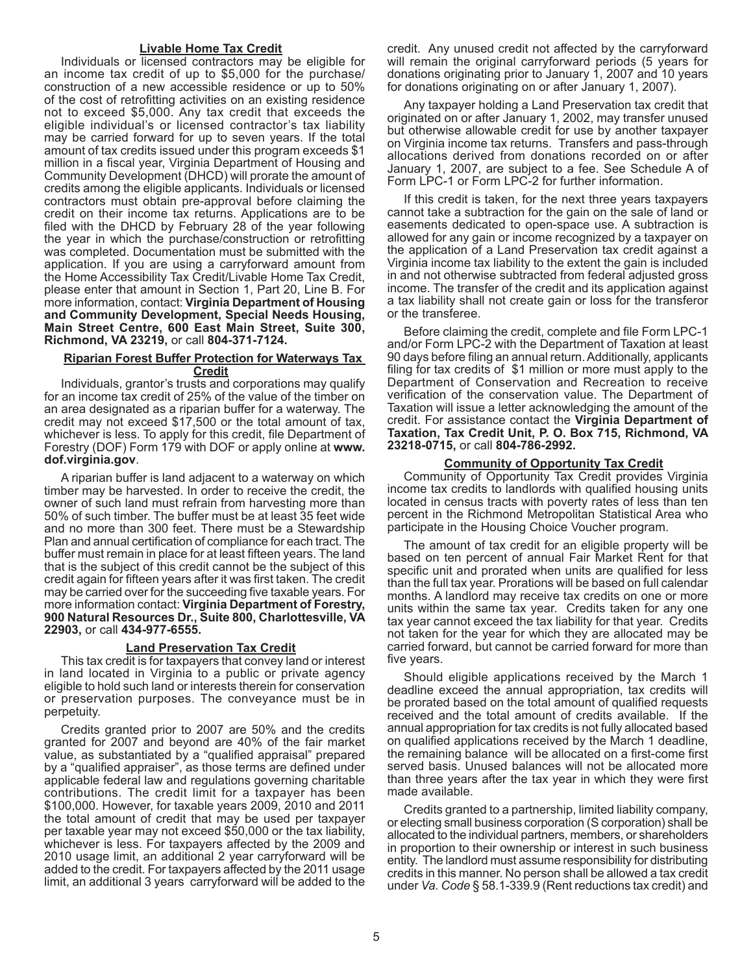#### **Livable Home Tax Credit**

Individuals or licensed contractors may be eligible for an income tax credit of up to \$5,000 for the purchase/ construction of a new accessible residence or up to 50% of the cost of retrofitting activities on an existing residence not to exceed \$5,000. Any tax credit that exceeds the eligible individual's or licensed contractor's tax liability may be carried forward for up to seven years. If the total amount of tax credits issued under this program exceeds \$1 million in a fiscal year, Virginia Department of Housing and Community Development (DHCD) will prorate the amount of credits among the eligible applicants. Individuals or licensed contractors must obtain pre-approval before claiming the credit on their income tax returns. Applications are to be filed with the DHCD by February 28 of the year following the year in which the purchase/construction or retrofitting was completed. Documentation must be submitted with the application. If you are using a carryforward amount from the Home Accessibility Tax Credit/Livable Home Tax Credit, please enter that amount in Section 1, Part 20, Line B. For more information, contact: **Virginia Department of Housing and Community Development, Special Needs Housing, Main Street Centre, 600 East Main Street, Suite 300, Richmond, VA 23219,** or call **804-371-7124.**

#### **Riparian Forest Buffer Protection for Waterways Tax Credit**

Individuals, grantor's trusts and corporations may qualify for an income tax credit of 25% of the value of the timber on an area designated as a riparian buffer for a waterway. The credit may not exceed \$17,500 or the total amount of tax, whichever is less. To apply for this credit, file Department of Forestry (DOF) Form 179 with DOF or apply online at **www. dof.virginia.gov**.

A riparian buffer is land adjacent to a waterway on which timber may be harvested. In order to receive the credit, the owner of such land must refrain from harvesting more than 50% of such timber. The buffer must be at least 35 feet wide and no more than 300 feet. There must be a Stewardship Plan and annual certification of compliance for each tract. The buffer must remain in place for at least fifteen years. The land that is the subject of this credit cannot be the subject of this credit again for fifteen years after it was first taken. The credit may be carried over for the succeeding five taxable years. For more information contact: **Virginia Department of Forestry, 900 Natural Resources Dr., Suite 800, Charlottesville, VA 22903,** or call **434-977-6555.** 

#### **Land Preservation Tax Credit**

This tax credit is for taxpayers that convey land or interest in land located in Virginia to a public or private agency eligible to hold such land or interests therein for conservation or preservation purposes. The conveyance must be in perpetuity.

Credits granted prior to 2007 are 50% and the credits granted for 2007 and beyond are 40% of the fair market value, as substantiated by a "qualified appraisal" prepared by a "qualified appraiser", as those terms are defined under applicable federal law and regulations governing charitable contributions. The credit limit for a taxpayer has been \$100,000. However, for taxable years 2009, 2010 and 2011 the total amount of credit that may be used per taxpayer per taxable year may not exceed \$50,000 or the tax liability, whichever is less. For taxpayers affected by the 2009 and 2010 usage limit, an additional 2 year carryforward will be added to the credit. For taxpayers affected by the 2011 usage limit, an additional 3 years carryforward will be added to the

credit. Any unused credit not affected by the carryforward will remain the original carryforward periods (5 years for donations originating prior to January 1, 2007 and 10 years for donations originating on or after January 1, 2007).

Any taxpayer holding a Land Preservation tax credit that originated on or after January 1, 2002, may transfer unused but otherwise allowable credit for use by another taxpayer on Virginia income tax returns. Transfers and pass-through allocations derived from donations recorded on or after January 1, 2007, are subject to a fee. See Schedule A of Form LPC-1 or Form LPC-2 for further information.

If this credit is taken, for the next three years taxpayers cannot take a subtraction for the gain on the sale of land or easements dedicated to open-space use. A subtraction is allowed for any gain or income recognized by a taxpayer on the application of a Land Preservation tax credit against a Virginia income tax liability to the extent the gain is included in and not otherwise subtracted from federal adjusted gross income. The transfer of the credit and its application against a tax liability shall not create gain or loss for the transferor or the transferee.

Before claiming the credit, complete and file Form LPC-1 and/or Form LPC-2 with the Department of Taxation at least 90 days before filing an annual return. Additionally, applicants filing for tax credits of \$1 million or more must apply to the Department of Conservation and Recreation to receive verification of the conservation value. The Department of Taxation will issue a letter acknowledging the amount of the credit. For assistance contact the **Virginia Department of Taxation, Tax Credit Unit, P. O. Box 715, Richmond, VA 23218-0715,** or call **804-786-2992.**

### **Community of Opportunity Tax Credit**

Community of Opportunity Tax Credit provides Virginia income tax credits to landlords with qualified housing units located in census tracts with poverty rates of less than ten percent in the Richmond Metropolitan Statistical Area who participate in the Housing Choice Voucher program.

The amount of tax credit for an eligible property will be based on ten percent of annual Fair Market Rent for that specific unit and prorated when units are qualified for less than the full tax year. Prorations will be based on full calendar months. A landlord may receive tax credits on one or more units within the same tax year. Credits taken for any one tax year cannot exceed the tax liability for that year. Credits not taken for the year for which they are allocated may be carried forward, but cannot be carried forward for more than five years.

Should eligible applications received by the March 1 deadline exceed the annual appropriation, tax credits will be prorated based on the total amount of qualified requests received and the total amount of credits available. If the annual appropriation for tax credits is not fully allocated based on qualified applications received by the March 1 deadline, the remaining balance will be allocated on a first-come first served basis. Unused balances will not be allocated more than three years after the tax year in which they were first made available.

Credits granted to a partnership, limited liability company, or electing small business corporation (S corporation) shall be allocated to the individual partners, members, or shareholders in proportion to their ownership or interest in such business entity. The landlord must assume responsibility for distributing credits in this manner. No person shall be allowed a tax credit under *Va. Code* § 58.1-339.9 (Rent reductions tax credit) and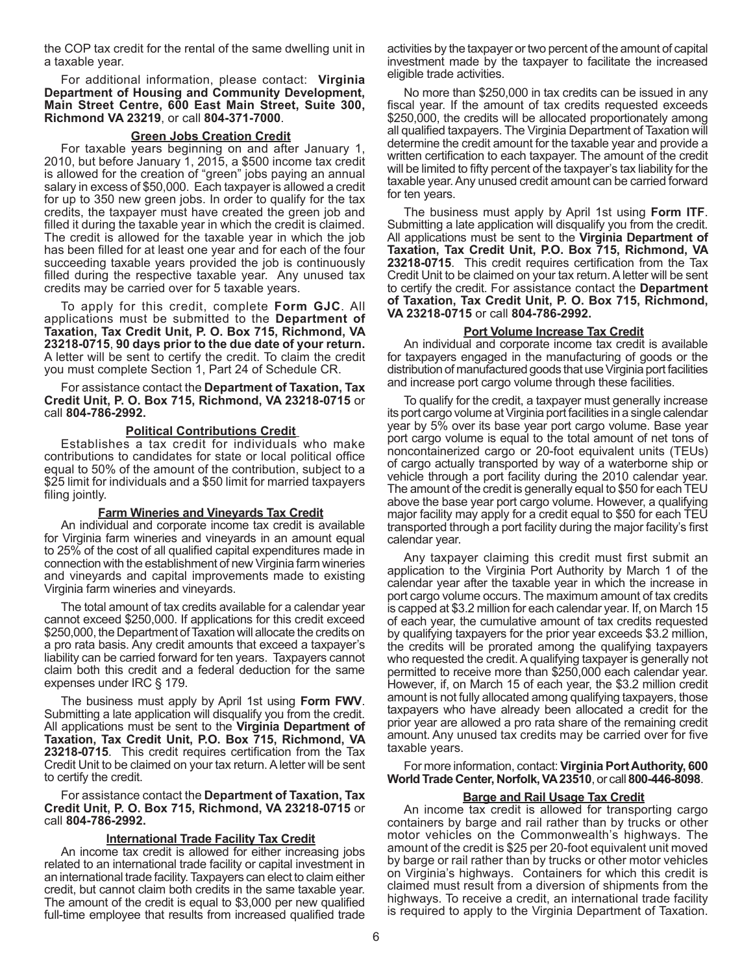the COP tax credit for the rental of the same dwelling unit in a taxable year.

For additional information, please contact: **Virginia Department of Housing and Community Development, Main Street Centre, 600 East Main Street, Suite 300, Richmond VA 23219**, or call **804-371-7000**.

## **Green Jobs Creation Credit**

For taxable years beginning on and after January 1, 2010, but before January 1, 2015, a \$500 income tax credit is allowed for the creation of "green" jobs paying an annual salary in excess of \$50,000. Each taxpayer is allowed a credit for up to 350 new green jobs. In order to qualify for the tax credits, the taxpayer must have created the green job and filled it during the taxable year in which the credit is claimed. The credit is allowed for the taxable year in which the job has been filled for at least one year and for each of the four succeeding taxable years provided the job is continuously filled during the respective taxable year. Any unused tax credits may be carried over for 5 taxable years.

To apply for this credit, complete **Form GJC**. All applications must be submitted to the **Department of Taxation, Tax Credit Unit, P. O. Box 715, Richmond, VA 23218-0715**, **90 days prior to the due date of your return.** A letter will be sent to certify the credit. To claim the credit you must complete Section 1, Part 24 of Schedule CR.

For assistance contact the **Department of Taxation, Tax Credit Unit, P. O. Box 715, Richmond, VA 23218-0715** or call **804-786-2992.**

#### **Political Contributions Credit**

Establishes a tax credit for individuals who make contributions to candidates for state or local political office equal to 50% of the amount of the contribution, subject to a \$25 limit for individuals and a \$50 limit for married taxpayers filing jointly.

## **Farm Wineries and Vineyards Tax Credit**

An individual and corporate income tax credit is available for Virginia farm wineries and vineyards in an amount equal to 25% of the cost of all qualified capital expenditures made in connection with the establishment of new Virginia farm wineries and vineyards and capital improvements made to existing Virginia farm wineries and vineyards.

The total amount of tax credits available for a calendar year cannot exceed \$250,000. If applications for this credit exceed \$250,000, the Department of Taxation will allocate the credits on a pro rata basis. Any credit amounts that exceed a taxpayer's liability can be carried forward for ten years. Taxpayers cannot claim both this credit and a federal deduction for the same expenses under IRC § 179.

The business must apply by April 1st using **Form FWV**. Submitting a late application will disqualify you from the credit. All applications must be sent to the **Virginia Department of Taxation, Tax Credit Unit, P.O. Box 715, Richmond, VA 23218-0715**. This credit requires certification from the Tax Credit Unit to be claimed on your tax return. A letter will be sent to certify the credit.

For assistance contact the **Department of Taxation, Tax Credit Unit, P. O. Box 715, Richmond, VA 23218-0715** or call **804-786-2992.**

## **International Trade Facility Tax Credit**

An income tax credit is allowed for either increasing jobs related to an international trade facility or capital investment in an international trade facility. Taxpayers can elect to claim either credit, but cannot claim both credits in the same taxable year. The amount of the credit is equal to \$3,000 per new qualified full-time employee that results from increased qualified trade

activities by the taxpayer or two percent of the amount of capital investment made by the taxpayer to facilitate the increased eligible trade activities.

No more than \$250,000 in tax credits can be issued in any fiscal year. If the amount of tax credits requested exceeds \$250,000, the credits will be allocated proportionately among all qualified taxpayers. The Virginia Department of Taxation will determine the credit amount for the taxable year and provide a written certification to each taxpayer. The amount of the credit will be limited to fifty percent of the taxpayer's tax liability for the taxable year. Any unused credit amount can be carried forward for ten years.

The business must apply by April 1st using **Form ITF**. Submitting a late application will disqualify you from the credit. All applications must be sent to the **Virginia Department of Taxation, Tax Credit Unit, P.O. Box 715, Richmond, VA 23218-0715**. This credit requires certification from the Tax Credit Unit to be claimed on your tax return. A letter will be sent to certify the credit. For assistance contact the **Department of Taxation, Tax Credit Unit, P. O. Box 715, Richmond, VA 23218-0715** or call **804-786-2992.**

## **Port Volume Increase Tax Credit**

An individual and corporate income tax credit is available for taxpayers engaged in the manufacturing of goods or the distribution of manufactured goods that use Virginia port facilities and increase port cargo volume through these facilities.

To qualify for the credit, a taxpayer must generally increase its port cargo volume at Virginia port facilities in a single calendar year by 5% over its base year port cargo volume. Base year port cargo volume is equal to the total amount of net tons of noncontainerized cargo or 20-foot equivalent units (TEUs) of cargo actually transported by way of a waterborne ship or vehicle through a port facility during the 2010 calendar year. The amount of the credit is generally equal to \$50 for each TEU above the base year port cargo volume. However, a qualifying major facility may apply for a credit equal to \$50 for each TEU transported through a port facility during the major facility's first calendar year.

Any taxpayer claiming this credit must first submit an application to the Virginia Port Authority by March 1 of the calendar year after the taxable year in which the increase in port cargo volume occurs. The maximum amount of tax credits is capped at \$3.2 million for each calendar year. If, on March 15 of each year, the cumulative amount of tax credits requested by qualifying taxpayers for the prior year exceeds \$3.2 million, the credits will be prorated among the qualifying taxpayers who requested the credit. A qualifying taxpayer is generally not permitted to receive more than \$250,000 each calendar year. However, if, on March 15 of each year, the \$3.2 million credit amount is not fully allocated among qualifying taxpayers, those taxpayers who have already been allocated a credit for the prior year are allowed a pro rata share of the remaining credit amount. Any unused tax credits may be carried over for five taxable years.

For more information, contact: **Virginia Port Authority, 600 World Trade Center, Norfolk, VA 23510**, or call **800-446-8098**.

#### **Barge and Rail Usage Tax Credit**

An income tax credit is allowed for transporting cargo containers by barge and rail rather than by trucks or other motor vehicles on the Commonwealth's highways. The amount of the credit is \$25 per 20-foot equivalent unit moved by barge or rail rather than by trucks or other motor vehicles on Virginia's highways. Containers for which this credit is claimed must result from a diversion of shipments from the highways. To receive a credit, an international trade facility is required to apply to the Virginia Department of Taxation.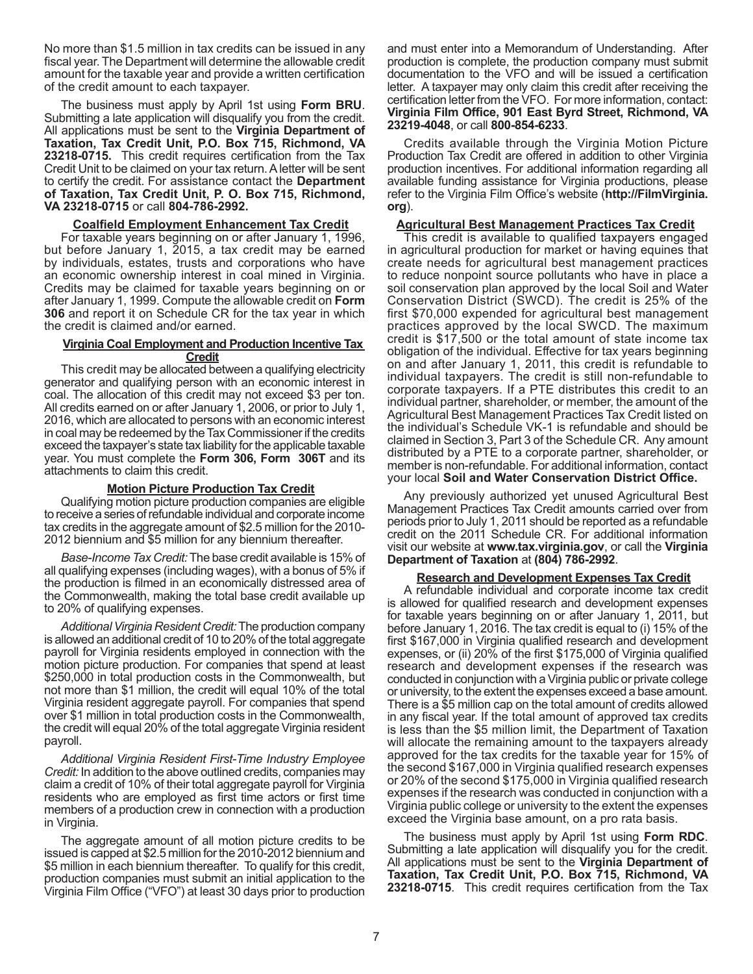No more than \$1.5 million in tax credits can be issued in any fiscal year. The Department will determine the allowable credit amount for the taxable year and provide a written certification of the credit amount to each taxpayer.

The business must apply by April 1st using **Form BRU**. Submitting a late application will disqualify you from the credit. All applications must be sent to the **Virginia Department of Taxation, Tax Credit Unit, P.O. Box 715, Richmond, VA 23218-0715.** This credit requires certification from the Tax Credit Unit to be claimed on your tax return. A letter will be sent to certify the credit. For assistance contact the **Department of Taxation, Tax Credit Unit, P. O. Box 715, Richmond, VA 23218-0715** or call **804-786-2992.**

## **Coalfield Employment Enhancement Tax Credit**

For taxable years beginning on or after January 1, 1996, but before January 1, 2015, a tax credit may be earned by individuals, estates, trusts and corporations who have an economic ownership interest in coal mined in Virginia. Credits may be claimed for taxable years beginning on or after January 1, 1999. Compute the allowable credit on **Form 306** and report it on Schedule CR for the tax year in which the credit is claimed and/or earned.

## **Virginia Coal Employment and Production Incentive Tax Credit**

This credit may be allocated between a qualifying electricity generator and qualifying person with an economic interest in coal. The allocation of this credit may not exceed \$3 per ton. All credits earned on or after January 1, 2006, or prior to July 1, 2016, which are allocated to persons with an economic interest in coal may be redeemed by the Tax Commissioner if the credits exceed the taxpayer's state tax liability for the applicable taxable year. You must complete the **Form 306, Form 306T** and its attachments to claim this credit.

### **Motion Picture Production Tax Credit**

Qualifying motion picture production companies are eligible to receive a series of refundable individual and corporate income tax credits in the aggregate amount of \$2.5 million for the 2010- 2012 biennium and \$5 million for any biennium thereafter.

*Base-Income Tax Credit:* The base credit available is 15% of all qualifying expenses (including wages), with a bonus of 5% if the production is filmed in an economically distressed area of the Commonwealth, making the total base credit available up to 20% of qualifying expenses.

*Additional Virginia Resident Credit:* The production company is allowed an additional credit of 10 to 20% of the total aggregate payroll for Virginia residents employed in connection with the motion picture production. For companies that spend at least \$250,000 in total production costs in the Commonwealth, but not more than \$1 million, the credit will equal 10% of the total Virginia resident aggregate payroll. For companies that spend over \$1 million in total production costs in the Commonwealth, the credit will equal 20% of the total aggregate Virginia resident payroll.

*Additional Virginia Resident First-Time Industry Employee Credit:* In addition to the above outlined credits, companies may claim a credit of 10% of their total aggregate payroll for Virginia residents who are employed as first time actors or first time members of a production crew in connection with a production in Virginia.

The aggregate amount of all motion picture credits to be issued is capped at \$2.5 million for the 2010-2012 biennium and \$5 million in each biennium thereafter. To qualify for this credit, production companies must submit an initial application to the Virginia Film Office ("VFO") at least 30 days prior to production and must enter into a Memorandum of Understanding. After production is complete, the production company must submit documentation to the VFO and will be issued a certification letter. A taxpayer may only claim this credit after receiving the certification letter from the VFO. For more information, contact: **Virginia Film Office, 901 East Byrd Street, Richmond, VA 23219-4048**, or call **800-854-6233**.

Credits available through the Virginia Motion Picture Production Tax Credit are offered in addition to other Virginia production incentives. For additional information regarding all available funding assistance for Virginia productions, please refer to the Virginia Film Office's website (**http://FilmVirginia. org**).

## **Agricultural Best Management Practices Tax Credit**

This credit is available to qualified taxpayers engaged in agricultural production for market or having equines that create needs for agricultural best management practices to reduce nonpoint source pollutants who have in place a soil conservation plan approved by the local Soil and Water Conservation District (SWCD). The credit is 25% of the first \$70,000 expended for agricultural best management practices approved by the local SWCD. The maximum credit is \$17,500 or the total amount of state income tax obligation of the individual. Effective for tax years beginning on and after January 1, 2011, this credit is refundable to individual taxpayers. The credit is still non-refundable to corporate taxpayers. If a PTE distributes this credit to an individual partner, shareholder, or member, the amount of the Agricultural Best Management Practices Tax Credit listed on the individual's Schedule VK-1 is refundable and should be claimed in Section 3, Part 3 of the Schedule CR. Any amount distributed by a PTE to a corporate partner, shareholder, or member is non-refundable. For additional information, contact your local **Soil and Water Conservation District Office.**

Any previously authorized yet unused Agricultural Best Management Practices Tax Credit amounts carried over from periods prior to July 1, 2011 should be reported as a refundable credit on the 2011 Schedule CR. For additional information visit our website at **www.tax.virginia.gov**, or call the **Virginia Department of Taxation** at **(804) 786-2992**.

### **Research and Development Expenses Tax Credit**

A refundable individual and corporate income tax credit is allowed for qualified research and development expenses for taxable years beginning on or after January 1, 2011, but before January 1, 2016. The tax credit is equal to (i) 15% of the first \$167,000 in Virginia qualified research and development expenses, or (ii) 20% of the first \$175,000 of Virginia qualified research and development expenses if the research was conducted in conjunction with a Virginia public or private college or university, to the extent the expenses exceed a base amount. There is a \$5 million cap on the total amount of credits allowed in any fiscal year. If the total amount of approved tax credits is less than the \$5 million limit, the Department of Taxation will allocate the remaining amount to the taxpayers already approved for the tax credits for the taxable year for 15% of the second \$167,000 in Virginia qualified research expenses or 20% of the second \$175,000 in Virginia qualified research expenses if the research was conducted in conjunction with a Virginia public college or university to the extent the expenses exceed the Virginia base amount, on a pro rata basis.

The business must apply by April 1st using **Form RDC**. Submitting a late application will disqualify you for the credit. All applications must be sent to the **Virginia Department of Taxation, Tax Credit Unit, P.O. Box 715, Richmond, VA 23218-0715**. This credit requires certification from the Tax